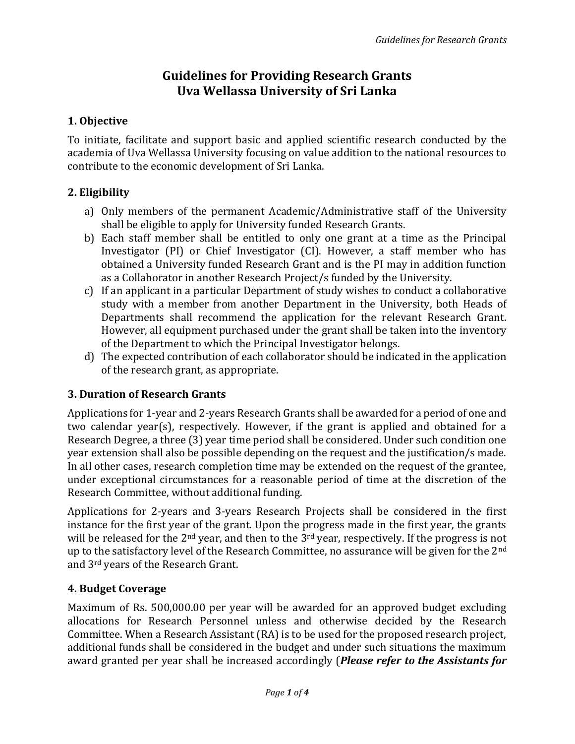# Guidelines for Providing Research Grants Uva Wellassa University of Sri Lanka

### 1. Objective

To initiate, facilitate and support basic and applied scientific research conducted by the academia of Uva Wellassa University focusing on value addition to the national resources to contribute to the economic development of Sri Lanka.

### 2. Eligibility

- a) Only members of the permanent Academic/Administrative staff of the University shall be eligible to apply for University funded Research Grants.
- b) Each staff member shall be entitled to only one grant at a time as the Principal Investigator (PI) or Chief Investigator (CI). However, a staff member who has obtained a University funded Research Grant and is the PI may in addition function as a Collaborator in another Research Project/s funded by the University.
- c) If an applicant in a particular Department of study wishes to conduct a collaborative study with a member from another Department in the University, both Heads of Departments shall recommend the application for the relevant Research Grant. However, all equipment purchased under the grant shall be taken into the inventory of the Department to which the Principal Investigator belongs.
- d) The expected contribution of each collaborator should be indicated in the application of the research grant, as appropriate.

# 3. Duration of Research Grants

Applications for 1-year and 2-years Research Grants shall be awarded for a period of one and two calendar year(s), respectively. However, if the grant is applied and obtained for a Research Degree, a three (3) year time period shall be considered. Under such condition one year extension shall also be possible depending on the request and the justification/s made. In all other cases, research completion time may be extended on the request of the grantee, under exceptional circumstances for a reasonable period of time at the discretion of the Research Committee, without additional funding.

Applications for 2-years and 3-years Research Projects shall be considered in the first instance for the first year of the grant. Upon the progress made in the first year, the grants will be released for the 2<sup>nd</sup> year, and then to the 3<sup>rd</sup> year, respectively. If the progress is not up to the satisfactory level of the Research Committee, no assurance will be given for the 2<sup>nd</sup> and 3rd years of the Research Grant.

# 4. Budget Coverage

Maximum of Rs. 500,000.00 per year will be awarded for an approved budget excluding allocations for Research Personnel unless and otherwise decided by the Research Committee. When a Research Assistant (RA) is to be used for the proposed research project, additional funds shall be considered in the budget and under such situations the maximum award granted per year shall be increased accordingly (*Please refer to the Assistants for*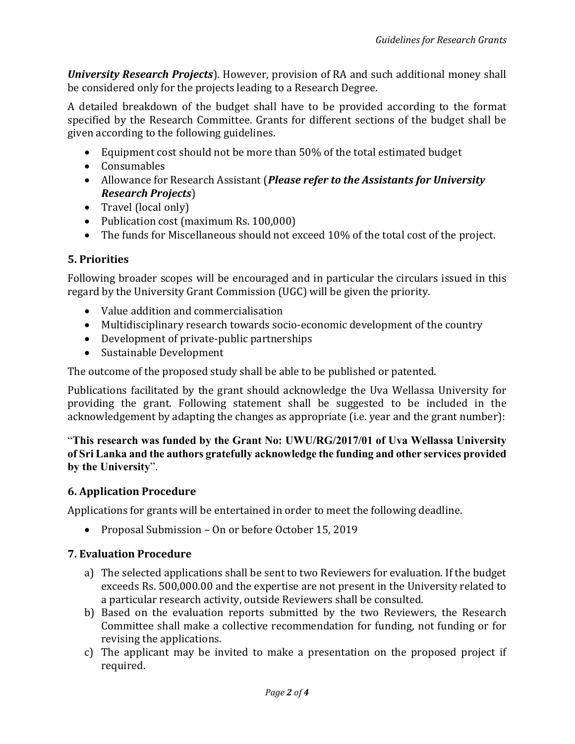University Research Projects). However, provision of RA and such additional money shall be considered only for the projects leading to a Research Degree.

A detailed breakdown of the budget shall have to be provided according to the format specified by the Research Committee. Grants for different sections of the budget shall be given according to the following guidelines.

- Equipment cost should not be more than 50% of the total estimated budget
- Consumables
- Allowance for Research Assistant (*Please refer to the Assistants for University* Research Projects)
- Travel (local only)
- Publication cost (maximum Rs. 100,000)
- The funds for Miscellaneous should not exceed 10% of the total cost of the project.

#### 5. Priorities

Following broader scopes will be encouraged and in particular the circulars issued in this regard by the University Grant Commission (UGC) will be given the priority.

- Value addition and commercialisation
- Multidisciplinary research towards socio-economic development of the country
- Development of private-public partnerships
- Sustainable Development

The outcome of the proposed study shall be able to be published or patented.

Publications facilitated by the grant should acknowledge the Uva Wellassa University for providing the grant. Following statement shall be suggested to be included in the acknowledgement by adapting the changes as appropriate (i.e. year and the grant number):

"This research was funded by the Grant No: UWU/RG/2017/01 of Uva Wellassa University of Sri Lanka and the authors gratefully acknowledge the funding and other services provided by the University".

#### 6. Application Procedure

Applications for grants will be entertained in order to meet the following deadline.

• Proposal Submission – On or before October 15, 2019

#### 7. Evaluation Procedure

- a) The selected applications shall be sent to two Reviewers for evaluation. If the budget exceeds Rs. 500,000.00 and the expertise are not present in the University related to a particular research activity, outside Reviewers shall be consulted.
- b) Based on the evaluation reports submitted by the two Reviewers, the Research Committee shall make a collective recommendation for funding, not funding or for revising the applications.
- c) The applicant may be invited to make a presentation on the proposed project if required.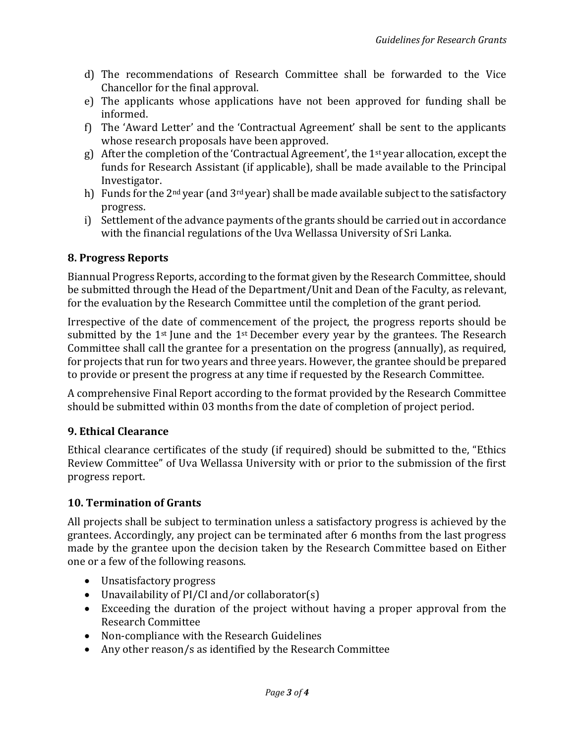- d) The recommendations of Research Committee shall be forwarded to the Vice Chancellor for the final approval.
- e) The applicants whose applications have not been approved for funding shall be informed.
- f) The 'Award Letter' and the 'Contractual Agreement' shall be sent to the applicants whose research proposals have been approved.
- g) After the completion of the 'Contractual Agreement', the 1st year allocation, except the funds for Research Assistant (if applicable), shall be made available to the Principal Investigator.
- h) Funds for the  $2^{nd}$  year (and  $3^{rd}$  year) shall be made available subject to the satisfactory progress.
- i) Settlement of the advance payments of the grants should be carried out in accordance with the financial regulations of the Uva Wellassa University of Sri Lanka.

### 8. Progress Reports

Biannual Progress Reports, according to the format given by the Research Committee, should be submitted through the Head of the Department/Unit and Dean of the Faculty, as relevant, for the evaluation by the Research Committee until the completion of the grant period.

Irrespective of the date of commencement of the project, the progress reports should be submitted by the  $1<sup>st</sup>$  June and the  $1<sup>st</sup>$  December every year by the grantees. The Research Committee shall call the grantee for a presentation on the progress (annually), as required, for projects that run for two years and three years. However, the grantee should be prepared to provide or present the progress at any time if requested by the Research Committee.

A comprehensive Final Report according to the format provided by the Research Committee should be submitted within 03 months from the date of completion of project period.

# 9. Ethical Clearance

Ethical clearance certificates of the study (if required) should be submitted to the, "Ethics Review Committee" of Uva Wellassa University with or prior to the submission of the first progress report.

#### 10. Termination of Grants

All projects shall be subject to termination unless a satisfactory progress is achieved by the grantees. Accordingly, any project can be terminated after 6 months from the last progress made by the grantee upon the decision taken by the Research Committee based on Either one or a few of the following reasons.

- Unsatisfactory progress
- Unavailability of PI/CI and/or collaborator(s)
- Exceeding the duration of the project without having a proper approval from the Research Committee
- Non-compliance with the Research Guidelines
- Any other reason/s as identified by the Research Committee